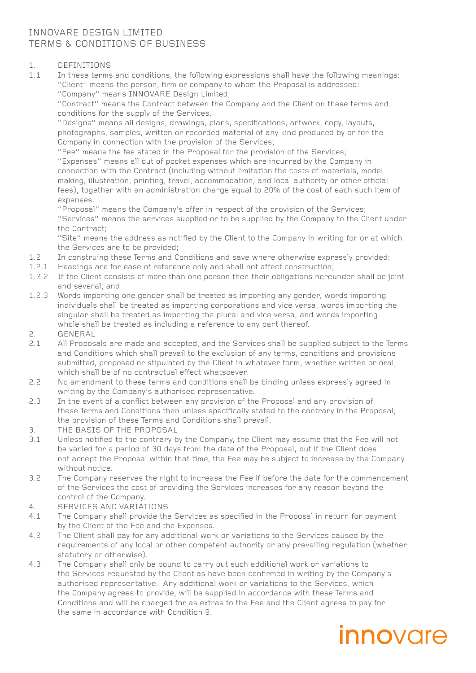#### INNOVARE DESIGN LIMITED TERMS & CONDITIONS OF BUSINESS

### 1. DEFINITIONS<br>1.1 In these terms

In these terms and conditions, the following expressions shall have the following meanings: "Client" means the person, firm or company to whom the Proposal is addressed: "Company" means INNOVARE Design Limited;

"Contract" means the Contract between the Company and the Client on these terms and conditions for the supply of the Services.

"Designs" means all designs, drawings, plans, specifications, artwork, copy, layouts, photographs, samples, written or recorded material of any kind produced by or for the Company in connection with the provision of the Services;

"Fee" means the fee stated in the Proposal for the provision of the Services; "Expenses" means all out of pocket expenses which are incurred by the Company in connection with the Contract (including without limitation the costs of materials, model making, illustration, printing, travel, accommodation, and local authority or other official fees), together with an administration charge equal to 20% of the cost of each such item of expenses.

"Proposal" means the Company's offer in respect of the provision of the Services; "Services" means the services supplied or to be supplied by the Company to the Client under the Contract;

"Site" means the address as notified by the Client to the Company in writing for or at which the Services are to be provided;

- 1.2 In construing these Terms and Conditions and save where otherwise expressly provided:
- 1.2.1 Headings are for ease of reference only and shall not affect construction;
- 1.2.2 If the Client consists of more than one person then their obligations hereunder shall be joint and several; and
- 1.2.3 Words importing one gender shall be treated as importing any gender, words importing individuals shall be treated as importing corporations and vice versa, words importing the singular shall be treated as importing the plural and vice versa, and words importing whole shall be treated as including a reference to any part thereof.
- 2. GENERAL
- 2.1 All Proposals are made and accepted, and the Services shall be supplied subject to the Terms and Conditions which shall prevail to the exclusion of any terms, conditions and provisions submitted, proposed or stipulated by the Client in whatever form, whether written or oral, which shall be of no contractual effect whatsoever.
- 2.2 No amendment to these terms and conditions shall be binding unless expressly agreed in writing by the Company's authorised representative.
- 2.3 In the event of a conflict between any provision of the Proposal and any provision of these Terms and Conditions then unless specifically stated to the contrary in the Proposal, the provision of these Terms and Conditions shall prevail.
- 3. THE BASIS OF THE PROPOSAL
- 3.1 Unless notified to the contrary by the Company, the Client may assume that the Fee will not be varied for a period of 30 days from the date of the Proposal, but if the Client does not accept the Proposal within that time, the Fee may be subject to increase by the Company without notice.
- 3.2 The Company reserves the right to increase the Fee if before the date for the commencement of the Services the cost of providing the Services increases for any reason beyond the control of the Company.
- 4. SERVICES AND VARIATIONS
- 4.1 The Company shall provide the Services as specified in the Proposal in return for payment by the Client of the Fee and the Expenses.
- 4.2 The Client shall pay for any additional work or variations to the Services caused by the requirements of any local or other competent authority or any prevailing regulation (whether statutory or otherwise).
- 4.3 The Company shall only be bound to carry out such additional work or variations to the Services requested by the Client as have been confirmed in writing by the Company's authorised representative. Any additional work or variations to the Services, which the Company agrees to provide, will be supplied in accordance with these Terms and Conditions and will be charged for as extras to the Fee and the Client agrees to pay for the same in accordance with Condition 9.

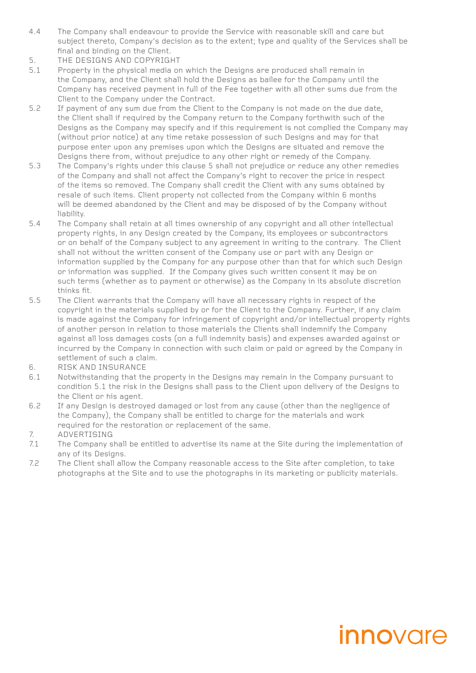- 4.4 The Company shall endeavour to provide the Service with reasonable skill and care but subject thereto, Company's decision as to the extent; type and quality of the Services shall be final and binding on the Client.
- 5. THE DESIGNS AND COPYRIGHT
- 5.1 Property in the physical media on which the Designs are produced shall remain in the Company, and the Client shall hold the Designs as bailee for the Company until the Company has received payment in full of the Fee together with all other sums due from the Client to the Company under the Contract.
- 5.2 If payment of any sum due from the Client to the Company is not made on the due date, the Client shall if required by the Company return to the Company forthwith such of the Designs as the Company may specify and if this requirement is not complied the Company may (without prior notice) at any time retake possession of such Designs and may for that purpose enter upon any premises upon which the Designs are situated and remove the Designs there from, without prejudice to any other right or remedy of the Company.
- 5.3 The Company's rights under this clause 5 shall not prejudice or reduce any other remedies of the Company and shall not affect the Company's right to recover the price in respect of the items so removed. The Company shall credit the Client with any sums obtained by resale of such items. Client property not collected from the Company within 6 months will be deemed abandoned by the Client and may be disposed of by the Company without liability.
- 5.4 The Company shall retain at all times ownership of any copyright and all other intellectual property rights, in any Design created by the Company, its employees or subcontractors or on behalf of the Company subject to any agreement in writing to the contrary. The Client shall not without the written consent of the Company use or part with any Design or information supplied by the Company for any purpose other than that for which such Design or information was supplied. If the Company gives such written consent it may be on such terms (whether as to payment or otherwise) as the Company in its absolute discretion thinks fit.
- 5.5 The Client warrants that the Company will have all necessary rights in respect of the copyright in the materials supplied by or for the Client to the Company. Further, if any claim is made against the Company for infringement of copyright and/or intellectual property rights of another person in relation to those materials the Clients shall indemnify the Company against all loss damages costs (on a full indemnity basis) and expenses awarded against or incurred by the Company in connection with such claim or paid or agreed by the Company in settlement of such a claim.
- 6. RISK AND INSURANCE
- 6.1 Notwithstanding that the property in the Designs may remain in the Company pursuant to condition 5.1 the risk in the Designs shall pass to the Client upon delivery of the Designs to the Client or his agent.
- 6.2 If any Design is destroyed damaged or lost from any cause (other than the negligence of the Company), the Company shall be entitled to charge for the materials and work required for the restoration or replacement of the same.
- 7. ADVERTISING<br>7.1 The Company s
- The Company shall be entitled to advertise its name at the Site during the implementation of any of its Designs.
- 7.2 The Client shall allow the Company reasonable access to the Site after completion, to take photographs at the Site and to use the photographs in its marketing or publicity materials.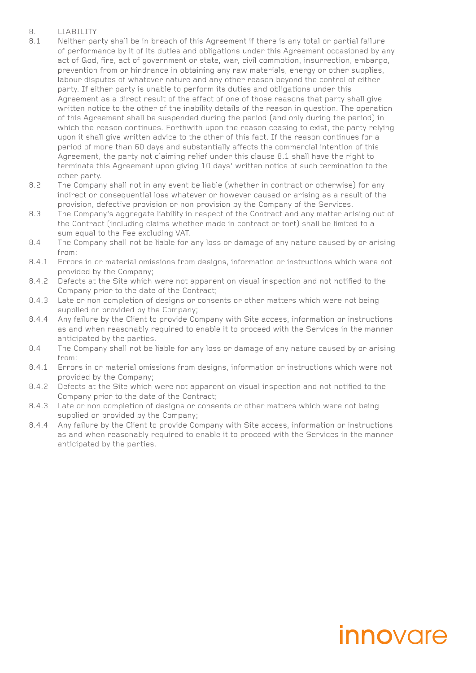#### 8. LIABILITY

- 8.1 Neither party shall be in breach of this Agreement if there is any total or partial failure of performance by it of its duties and obligations under this Agreement occasioned by any act of God, fire, act of government or state, war, civil commotion, insurrection, embargo, prevention from or hindrance in obtaining any raw materials, energy or other supplies, labour disputes of whatever nature and any other reason beyond the control of either party. If either party is unable to perform its duties and obligations under this Agreement as a direct result of the effect of one of those reasons that party shall give written notice to the other of the inability details of the reason in question. The operation of this Agreement shall be suspended during the period (and only during the period) in which the reason continues. Forthwith upon the reason ceasing to exist, the party relying upon it shall give written advice to the other of this fact. If the reason continues for a period of more than 60 days and substantially affects the commercial intention of this Agreement, the party not claiming relief under this clause 8.1 shall have the right to terminate this Agreement upon giving 10 days' written notice of such termination to the other party.
- 8.2 The Company shall not in any event be liable (whether in contract or otherwise) for any indirect or consequential loss whatever or however caused or arising as a result of the provision, defective provision or non provision by the Company of the Services.
- 8.3 The Company's aggregate liability in respect of the Contract and any matter arising out of the Contract (including claims whether made in contract or tort) shall be limited to a sum equal to the Fee excluding VAT.
- 8.4 The Company shall not be liable for any loss or damage of any nature caused by or arising from:
- 8.4.1 Errors in or material omissions from designs, information or instructions which were not provided by the Company;
- 8.4.2 Defects at the Site which were not apparent on visual inspection and not notified to the Company prior to the date of the Contract;
- 8.4.3 Late or non completion of designs or consents or other matters which were not being supplied or provided by the Company;
- 8.4.4 Any failure by the Client to provide Company with Site access, information or instructions as and when reasonably required to enable it to proceed with the Services in the manner anticipated by the parties.
- 8.4 The Company shall not be liable for any loss or damage of any nature caused by or arising from:
- 8.4.1 Errors in or material omissions from designs, information or instructions which were not provided by the Company;
- 8.4.2 Defects at the Site which were not apparent on visual inspection and not notified to the Company prior to the date of the Contract;
- 8.4.3 Late or non completion of designs or consents or other matters which were not being supplied or provided by the Company;
- 8.4.4 Any failure by the Client to provide Company with Site access, information or instructions as and when reasonably required to enable it to proceed with the Services in the manner anticipated by the parties.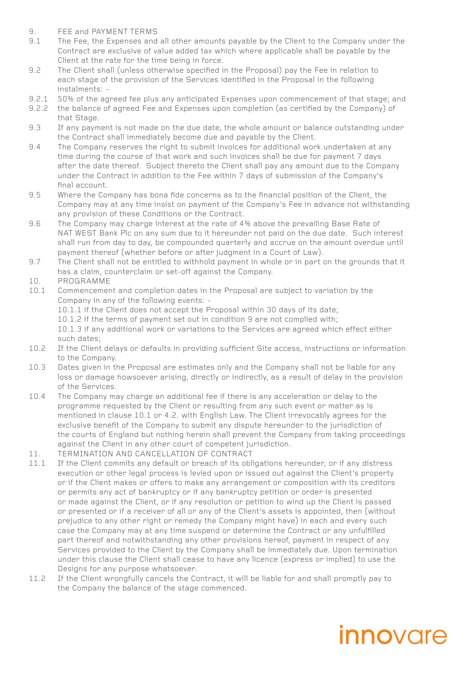- 9. FEE and PAYMENT TERMS
- 9.1 The Fee, the Expenses and all other amounts payable by the Client to the Company under the Contract are exclusive of value added tax which where applicable shall be payable by the Client at the rate for the time being in force.
- 9.2 The Client shall (unless otherwise specified in the Proposal) pay the Fee in relation to each stage of the provision of the Services identified in the Proposal in the following instalments: -
- 9.2.1 50% of the agreed fee plus any anticipated Expenses upon commencement of that stage; and
- 9.2.2 the balance of agreed Fee and Expenses upon completion (as certified by the Company) of that Stage.
- 9.3 If any payment is not made on the due date, the whole amount or balance outstanding under the Contract shall immediately become due and payable by the Client.
- 9.4 The Company reserves the right to submit invoices for additional work undertaken at any time during the course of that work and such invoices shall be due for payment 7 days after the date thereof. Subject thereto the Client shall pay any amount due to the Company under the Contract in addition to the Fee within 7 days of submission of the Company's final account.
- 9.5 Where the Company has bona fide concerns as to the financial position of the Client, the Company may at any time insist on payment of the Company's Fee in advance not withstanding any provision of these Conditions or the Contract.
- 9.6 The Company may charge interest at the rate of 4% above the prevailing Base Rate of NAT WEST Bank Plc on any sum due to it hereunder not paid on the due date. Such interest shall run from day to day, be compounded quarterly and accrue on the amount overdue until payment thereof (whether before or after judgment in a Court of Law).
- 9.7 The Client shall not be entitled to withhold payment in whole or in part on the grounds that it has a claim, counterclaim or set-off against the Company.
- 10. PROGRAMME<br>10.1 Commencemer
- Commencement and completion dates in the Proposal are subject to variation by the Company in any of the following events: -
	- 10.1.1 if the Client does not accept the Proposal within 30 days of its date;
	- 10.1.2 if the terms of payment set out in condition 9 are not complied with;

10.1.3 if any additional work or variations to the Services are agreed which effect either such dates;

- 10.2 If the Client delays or defaults in providing sufficient Site access, instructions or information to the Company.
- 10.3 Dates given in the Proposal are estimates only and the Company shall not be liable for any loss or damage howsoever arising, directly or indirectly, as a result of delay in the provision of the Services.
- 10.4 The Company may charge an additional fee if there is any acceleration or delay to the programme requested by the Client or resulting from any such event or matter as is mentioned in clause 10.1 or 4.2. with English Law. The Client irrevocably agrees for the exclusive benefit of the Company to submit any dispute hereunder to the jurisdiction of the courts of England but nothing herein shall prevent the Company from taking proceedings against the Client in any other court of competent jurisdiction.
- 11. TERMINATION AND CANCELLATION OF CONTRACT
- 11.1 If the Client commits any default or breach of its obligations hereunder, or if any distress execution or other legal process is levied upon or issued out against the Client's property or if the Client makes or offers to make any arrangement or composition with its creditors or permits any act of bankruptcy or if any bankruptcy petition or order is presented or made against the Client, or if any resolution or petition to wind up the Client is passed or presented or if a receiver of all or any of the Client's assets is appointed, then (without prejudice to any other right or remedy the Company might have) in each and every such case the Company may at any time suspend or determine the Contract or any unfulfilled part thereof and notwithstanding any other provisions hereof, payment in respect of any Services provided to the Client by the Company shall be immediately due. Upon termination under this clause the Client shall cease to have any licence (express or implied) to use the Designs for any purpose whatsoever.
- 11.2 If the Client wrongfully cancels the Contract, it will be liable for and shall promptly pay to the Company the balance of the stage commenced.